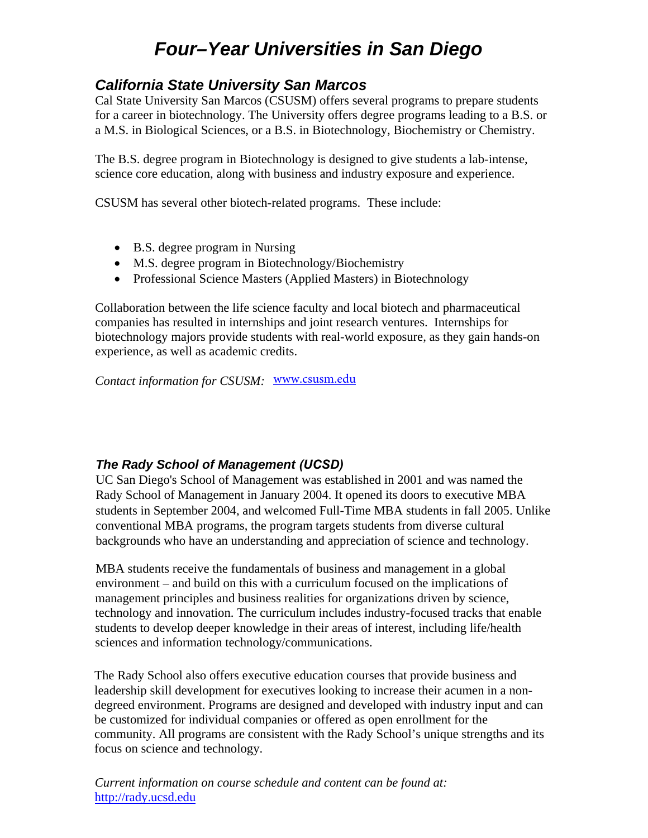# *Four–Year Universities in San Diego*

# *California State University San Marcos*

Cal State University San Marcos (CSUSM) offers several programs to prepare students for a career in biotechnology. The University offers degree programs leading to a B.S. or a M.S. in Biological Sciences, or a B.S. in Biotechnology, Biochemistry or Chemistry.

The B.S. degree program in Biotechnology is designed to give students a lab-intense, science core education, along with business and industry exposure and experience.

CSUSM has several other biotech-related programs. These include:

- B.S. degree program in Nursing
- M.S. degree program in Biotechnology/Biochemistry
- Professional Science Masters (Applied Masters) in Biotechnology

Collaboration between the life science faculty and local biotech and pharmaceutical companies has resulted in internships and joint research ventures. Internships for biotechnology majors provide students with real-world exposure, as they gain hands-on experience, as well as academic credits.

*Contact information for CSUSM:*  <www.csusm.edu>

# *The Rady School of Management (UCSD)*

UC San Diego's School of Management was established in 2001 and was named the [Rady School of Man](mailto:dgarcia@csusm.edu)agement in January 2004. It o[pened its doors to exec](mailto:trischma@csusm.edu)utive MBA students in September 2004, and welcomed Full-Time MBA students in fall 2005. Unlike conventional MBA programs, the program targets students from diverse cultural backgrounds who have an understanding and appreciation of science and technology.

MBA students receive the fundamentals of business and management in a global [environment – and](mailto:alkern@csusm.edu) build on this with a curriculum focused on the implications of management principles and business realities for organizations driven by science, technology and innovation. The curriculum includes industry-focused tracks that enable students to develop deeper knowledge in their areas of interest, including life/health sciences and information technology/communications.

The Rady School also offers executive education courses that provide business and leadership skill development for executives looking to increase their acumen in a nondegreed environment. Programs are designed and developed with industry input and can be customized for individual companies or offered as open enrollment for the community. All programs are consistent with the Rady School's unique strengths and its focus on science and technology.

*Current information on course schedule and content can be found at:* <http://rady.ucsd.edu>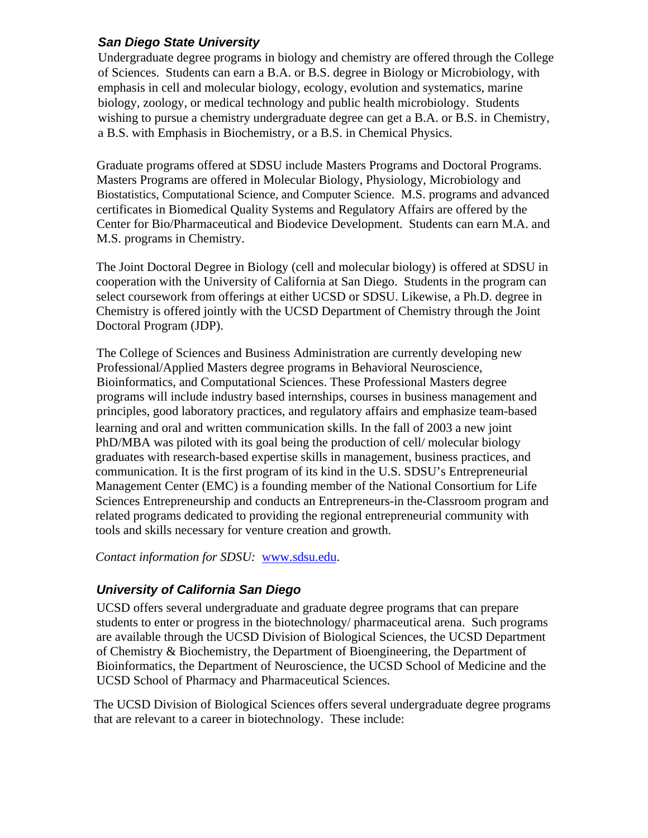#### *San Diego State University*

Undergraduate degree programs in biology and chemistry are offered through the College of Sciences. Students can earn a B.A. or B.S. degree in Biology or Microbiology, with emphasis in cell and molecular biology, ecology, evolution and systematics, marine biology, zoology, or medical technology and public health microbiology. Students wishing to pursue a chemistry undergraduate degree can get a B.A. or B.S. in Chemistry, a B.S. with Emphasis in Biochemistry, or a B.S. in Chemical Physics.

Graduate programs offered at SDSU include Masters Programs and Doctoral Programs. Masters Programs are offered in Molecular Biology, Physiology, Microbiology and Biostatistics, Computational Science, and Computer Science. M.S. programs and advanced certificates in Biomedical Quality Systems and Regulatory Affairs are offered by the Center for Bio/Pharmaceutical and Biodevice Development. Students can earn M.A. and M.S. programs in Chemistry.

[The Joint Doctoral Degree in Bi](http://rady.ucsd.edu/consortium)ology (cell and molecular biology) is offered at SDSU in cooperation with the University of California at San Diego. Students in the program can select coursework from offerings at either UCSD or SDSU. Likewise, a Ph.D. degree in Chemistry is offered jointly with the UCSD Department of Chemistry through the Joint Doctoral Program (JDP).

The College of Sciences and Business Administration are currently developing new Professional/Applied Masters degree programs in Behavioral Neuroscience, Bioinformatics, and Computational Sciences. These Professional Masters degree programs will include industry based internships, courses in business management and principles, good laboratory practices, and regulatory affairs and emphasize team-based learning and oral and written communication skills. In the fall of 2003 a new joint PhD/MBA was piloted with its goal being the production of cell/ molecular biology graduates with research-based expertise skills in management, business practices, and communication. It is the first program of its kind in the U.S. SDSU's Entrepreneurial Management Center (EMC) is a founding member of the National Consortium for Life Sciences Entrepreneurship and conducts an Entrepreneurs-in the-Classroom program and related programs dedicated to providing the regional entrepreneurial community with tools and skills necessary for venture creation and growth.

*Contact information for SDSU:* [www.sdsu.edu.](www.sdsu.edu)

# *University of California San Diego*

UCSD offers several undergraduate and graduate degree programs that can prepare students to enter or progress in the biotechnology/ pharmaceutical arena. Such programs are available through the UCSD Division of Biological Sciences, the UCSD Department of Chemistry & Biochemistry, the Department of Bioengineering, the Department of Bioinformatics, the Department of Neuroscience, the UCSD School of Medicine and the UCSD School of Pharmacy and Pharmaceutical Sciences.

The UCSD Division of Biological Sciences offers several undergraduate degree programs that are relevant to a career in biotechnology. These include: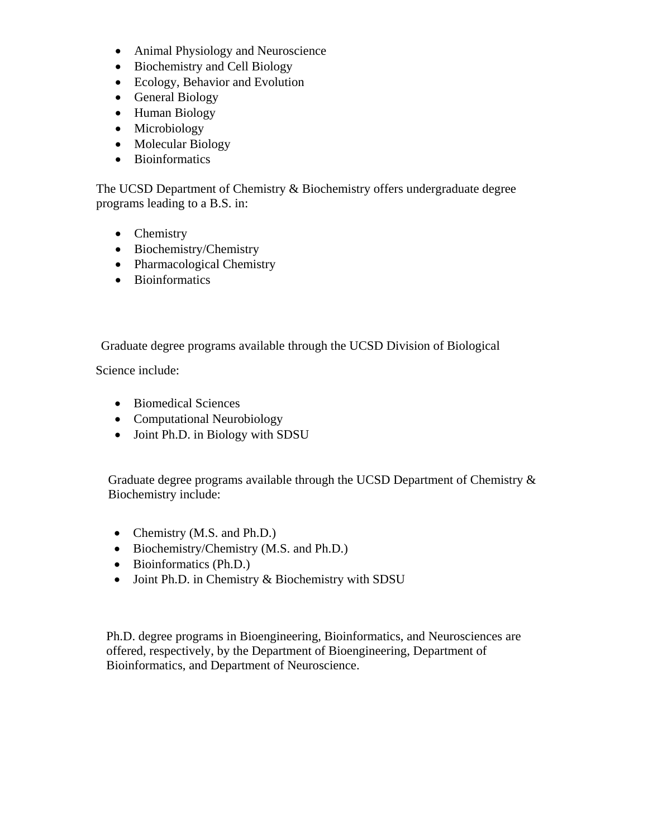- Animal Physiology and Neuroscience
- Biochemistry and Cell Biology
- Ecology, Behavior and Evolution
- General Biology
- Human Biology
- Microbiology
- Molecular Biology
- Bioinformatics

The UCSD Department of Chemistry & Biochemistry offers undergraduate degree programs leading to a B.S. in:

- Chemistry
- Biochemistry/Chemistry
- Pharmacological Chemistry
- Bioinformatics

Graduate degree programs available through the UCSD Division of Biological

Science include:

- Biomedical Sciences
- Computational Neurobiology
- Joint Ph.D. in Biology with SDSU

Graduate degree programs available through the UCSD Department of Chemistry  $\&$ Biochemistry include:

- Chemistry (M.S. and Ph.D.)
- Biochemistry/Chemistry (M.S. and Ph.D.)
- Bioinformatics (Ph.D.)
- Joint Ph.D. in Chemistry & Biochemistry with SDSU

Ph.D. degree programs in Bioengineering, Bioinformatics, and Neurosciences are offered, respectively, by the Department of Bioengineering, Department of Bioinformatics, and Department of Neuroscience.